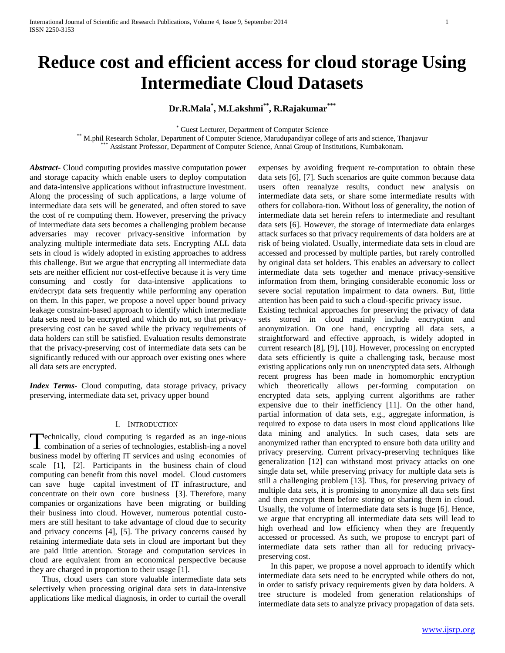# **Reduce cost and efficient access for cloud storage Using Intermediate Cloud Datasets**

## **Dr.R.Mala\* , M.Lakshmi\*\*, R.Rajakumar\*\*\***

\* Guest Lecturer, Department of Computer Science

\*\* M.phil Research Scholar, Department of Computer Science, Marudupandiyar college of arts and science, Thanjavur \*\*\* Assistant Professor, Department of Computer Science, Annai Group of Institutions, Kumbakonam.

*Abstract***-** Cloud computing provides massive computation power and storage capacity which enable users to deploy computation and data-intensive applications without infrastructure investment. Along the processing of such applications, a large volume of intermediate data sets will be generated, and often stored to save the cost of re computing them. However, preserving the privacy of intermediate data sets becomes a challenging problem because adversaries may recover privacy-sensitive information by analyzing multiple intermediate data sets. Encrypting ALL data sets in cloud is widely adopted in existing approaches to address this challenge. But we argue that encrypting all intermediate data sets are neither efficient nor cost-effective because it is very time consuming and costly for data-intensive applications to en/decrypt data sets frequently while performing any operation on them. In this paper, we propose a novel upper bound privacy leakage constraint-based approach to identify which intermediate data sets need to be encrypted and which do not, so that privacypreserving cost can be saved while the privacy requirements of data holders can still be satisfied. Evaluation results demonstrate that the privacy-preserving cost of intermediate data sets can be significantly reduced with our approach over existing ones where all data sets are encrypted.

*Index Terms*- Cloud computing, data storage privacy, privacy preserving, intermediate data set, privacy upper bound

## I. INTRODUCTION

echnically, cloud computing is regarded as an inge-nious Technically, cloud computing is regarded as an inge-nious<br>combination of a series of technologies, establish-ing a novel business model by offering IT services and using economies of scale [1], [2]. Participants in the business chain of cloud computing can benefit from this novel model. Cloud customers can save huge capital investment of IT infrastructure, and concentrate on their own core business [3]. Therefore, many companies or organizations have been migrating or building their business into cloud. However, numerous potential customers are still hesitant to take advantage of cloud due to security and privacy concerns [4], [5]. The privacy concerns caused by retaining intermediate data sets in cloud are important but they are paid little attention. Storage and computation services in cloud are equivalent from an economical perspective because they are charged in proportion to their usage [1].

 Thus, cloud users can store valuable intermediate data sets selectively when processing original data sets in data-intensive applications like medical diagnosis, in order to curtail the overall expenses by avoiding frequent re-computation to obtain these data sets [6], [7]. Such scenarios are quite common because data users often reanalyze results, conduct new analysis on intermediate data sets, or share some intermediate results with others for collabora-tion. Without loss of generality, the notion of intermediate data set herein refers to intermediate and resultant data sets [6]. However, the storage of intermediate data enlarges attack surfaces so that privacy requirements of data holders are at risk of being violated. Usually, intermediate data sets in cloud are accessed and processed by multiple parties, but rarely controlled by original data set holders. This enables an adversary to collect intermediate data sets together and menace privacy-sensitive information from them, bringing considerable economic loss or severe social reputation impairment to data owners. But, little attention has been paid to such a cloud-specific privacy issue.

Existing technical approaches for preserving the privacy of data sets stored in cloud mainly include encryption and anonymization. On one hand, encrypting all data sets, a straightforward and effective approach, is widely adopted in current research [8], [9], [10]. However, processing on encrypted data sets efficiently is quite a challenging task, because most existing applications only run on unencrypted data sets. Although recent progress has been made in homomorphic encryption which theoretically allows per-forming computation on encrypted data sets, applying current algorithms are rather expensive due to their inefficiency [11]. On the other hand, partial information of data sets, e.g., aggregate information, is required to expose to data users in most cloud applications like data mining and analytics. In such cases, data sets are anonymized rather than encrypted to ensure both data utility and privacy preserving. Current privacy-preserving techniques like generalization [12] can withstand most privacy attacks on one single data set, while preserving privacy for multiple data sets is still a challenging problem [13]. Thus, for preserving privacy of multiple data sets, it is promising to anonymize all data sets first and then encrypt them before storing or sharing them in cloud. Usually, the volume of intermediate data sets is huge [6]. Hence, we argue that encrypting all intermediate data sets will lead to high overhead and low efficiency when they are frequently accessed or processed. As such, we propose to encrypt part of intermediate data sets rather than all for reducing privacypreserving cost.

 In this paper, we propose a novel approach to identify which intermediate data sets need to be encrypted while others do not, in order to satisfy privacy requirements given by data holders. A tree structure is modeled from generation relationships of intermediate data sets to analyze privacy propagation of data sets.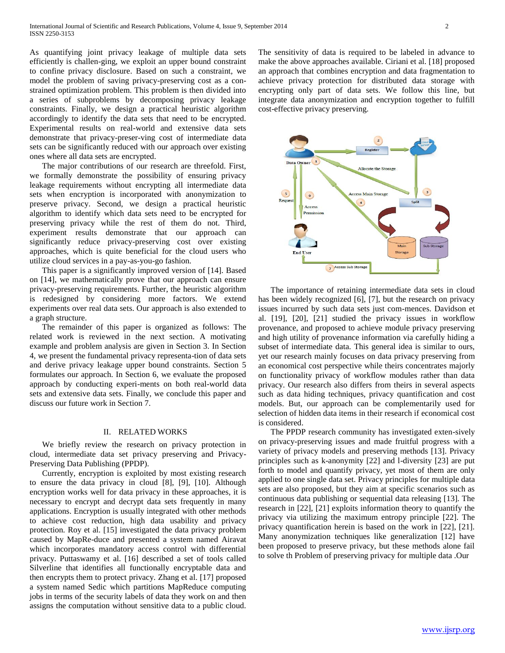As quantifying joint privacy leakage of multiple data sets efficiently is challen-ging, we exploit an upper bound constraint to confine privacy disclosure. Based on such a constraint, we model the problem of saving privacy-preserving cost as a constrained optimization problem. This problem is then divided into a series of subproblems by decomposing privacy leakage constraints. Finally, we design a practical heuristic algorithm accordingly to identify the data sets that need to be encrypted. Experimental results on real-world and extensive data sets demonstrate that privacy-preser-ving cost of intermediate data sets can be significantly reduced with our approach over existing ones where all data sets are encrypted.

 The major contributions of our research are threefold. First, we formally demonstrate the possibility of ensuring privacy leakage requirements without encrypting all intermediate data sets when encryption is incorporated with anonymization to preserve privacy. Second, we design a practical heuristic algorithm to identify which data sets need to be encrypted for preserving privacy while the rest of them do not. Third, experiment results demonstrate that our approach can significantly reduce privacy-preserving cost over existing approaches, which is quite beneficial for the cloud users who utilize cloud services in a pay-as-you-go fashion.

 This paper is a significantly improved version of [14]. Based on [14], we mathematically prove that our approach can ensure privacy-preserving requirements. Further, the heuristic algorithm is redesigned by considering more factors. We extend experiments over real data sets. Our approach is also extended to a graph structure.

 The remainder of this paper is organized as follows: The related work is reviewed in the next section. A motivating example and problem analysis are given in Section 3. In Section 4, we present the fundamental privacy representa-tion of data sets and derive privacy leakage upper bound constraints. Section 5 formulates our approach. In Section 6, we evaluate the proposed approach by conducting experi-ments on both real-world data sets and extensive data sets. Finally, we conclude this paper and discuss our future work in Section 7.

## II. RELATED WORKS

 We briefly review the research on privacy protection in cloud, intermediate data set privacy preserving and Privacy-Preserving Data Publishing (PPDP).

 Currently, encryption is exploited by most existing research to ensure the data privacy in cloud [8], [9], [10]. Although encryption works well for data privacy in these approaches, it is necessary to encrypt and decrypt data sets frequently in many applications. Encryption is usually integrated with other methods to achieve cost reduction, high data usability and privacy protection. Roy et al. [15] investigated the data privacy problem caused by MapRe-duce and presented a system named Airavat which incorporates mandatory access control with differential privacy. Puttaswamy et al. [16] described a set of tools called Silverline that identifies all functionally encryptable data and then encrypts them to protect privacy. Zhang et al. [17] proposed a system named Sedic which partitions MapReduce computing jobs in terms of the security labels of data they work on and then assigns the computation without sensitive data to a public cloud. The sensitivity of data is required to be labeled in advance to make the above approaches available. Ciriani et al. [18] proposed an approach that combines encryption and data fragmentation to achieve privacy protection for distributed data storage with encrypting only part of data sets. We follow this line, but integrate data anonymization and encryption together to fulfill cost-effective privacy preserving.



 The importance of retaining intermediate data sets in cloud has been widely recognized [6], [7], but the research on privacy issues incurred by such data sets just com-mences. Davidson et al. [19], [20], [21] studied the privacy issues in workflow provenance, and proposed to achieve module privacy preserving and high utility of provenance information via carefully hiding a subset of intermediate data. This general idea is similar to ours, yet our research mainly focuses on data privacy preserving from an economical cost perspective while theirs concentrates majorly on functionality privacy of workflow modules rather than data privacy. Our research also differs from theirs in several aspects such as data hiding techniques, privacy quantification and cost models. But, our approach can be complementarily used for selection of hidden data items in their research if economical cost is considered.

 The PPDP research community has investigated exten-sively on privacy-preserving issues and made fruitful progress with a variety of privacy models and preserving methods [13]. Privacy principles such as k-anonymity [22] and l-diversity [23] are put forth to model and quantify privacy, yet most of them are only applied to one single data set. Privacy principles for multiple data sets are also proposed, but they aim at specific scenarios such as continuous data publishing or sequential data releasing [13]. The research in [22], [21] exploits information theory to quantify the privacy via utilizing the maximum entropy principle [22]. The privacy quantification herein is based on the work in [22], [21]. Many anonymization techniques like generalization [12] have been proposed to preserve privacy, but these methods alone fail to solve th Problem of preserving privacy for multiple data .Our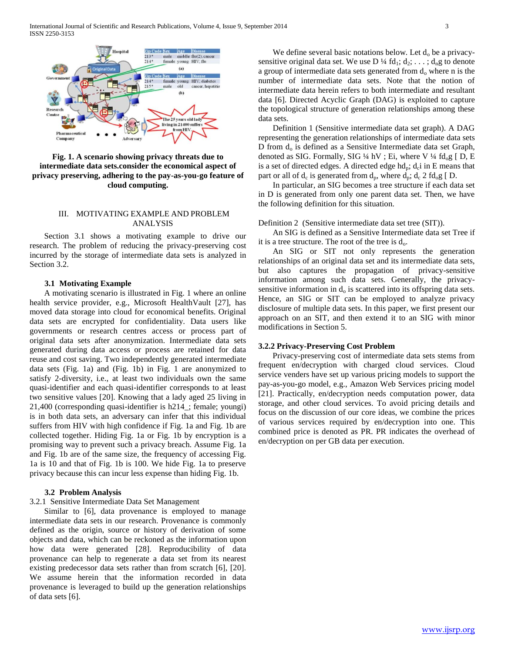

**Fig. 1. A scenario showing privacy threats due to intermediate data sets.consider the economical aspect of privacy preserving, adhering to the pay-as-you-go feature of cloud computing.**

## III. MOTIVATING EXAMPLE AND PROBLEM ANALYSIS

 Section 3.1 shows a motivating example to drive our research. The problem of reducing the privacy-preserving cost incurred by the storage of intermediate data sets is analyzed in Section 3.2.

## **3.1 Motivating Example**

 A motivating scenario is illustrated in Fig. 1 where an online health service provider, e.g., Microsoft HealthVault [27], has moved data storage into cloud for economical benefits. Original data sets are encrypted for confidentiality. Data users like governments or research centres access or process part of original data sets after anonymization. Intermediate data sets generated during data access or process are retained for data reuse and cost saving. Two independently generated intermediate data sets (Fig. 1a) and (Fig. 1b) in Fig. 1 are anonymized to satisfy 2-diversity, i.e., at least two individuals own the same quasi-identifier and each quasi-identifier corresponds to at least two sensitive values [20]. Knowing that a lady aged 25 living in 21,400 (corresponding quasi-identifier is h214\_; female; youngi) is in both data sets, an adversary can infer that this individual suffers from HIV with high confidence if Fig. 1a and Fig. 1b are collected together. Hiding Fig. 1a or Fig. 1b by encryption is a promising way to prevent such a privacy breach. Assume Fig. 1a and Fig. 1b are of the same size, the frequency of accessing Fig. 1a is 10 and that of Fig. 1b is 100. We hide Fig. 1a to preserve privacy because this can incur less expense than hiding Fig. 1b.

## **3.2 Problem Analysis**

## 3.2.1 Sensitive Intermediate Data Set Management

 Similar to [6], data provenance is employed to manage intermediate data sets in our research. Provenance is commonly defined as the origin, source or history of derivation of some objects and data, which can be reckoned as the information upon how data were generated [28]. Reproducibility of data provenance can help to regenerate a data set from its nearest existing predecessor data sets rather than from scratch [6], [20]. We assume herein that the information recorded in data provenance is leveraged to build up the generation relationships of data sets [6].

We define several basic notations below. Let  $d_0$  be a privacysensitive original data set. We use D  $\frac{1}{4}$  fd<sub>1</sub>; d<sub>2</sub>; . . . ; d<sub>n</sub>g to denote a group of intermediate data sets generated from  $d_0$  where n is the number of intermediate data sets. Note that the notion of intermediate data herein refers to both intermediate and resultant data [6]. Directed Acyclic Graph (DAG) is exploited to capture the topological structure of generation relationships among these data sets.

 Definition 1 (Sensitive intermediate data set graph). A DAG representing the generation relationships of intermediate data sets D from  $d_0$  is defined as a Sensitive Intermediate data set Graph, denoted as SIG. Formally, SIG  $\frac{1}{4}$  hV; Ei, where V  $\frac{1}{4}$  fd<sub>o</sub>g [D, E is a set of directed edges. A directed edge  $hd_p$ ;  $d_c$  in E means that part or all of  $d_c$  is generated from  $d_p$ , where  $d_p$ ;  $d_c$  2 f $d_o$ g [D.

 In particular, an SIG becomes a tree structure if each data set in D is generated from only one parent data set. Then, we have the following definition for this situation.

## Definition 2 (Sensitive intermediate data set tree (SIT)).

 An SIG is defined as a Sensitive Intermediate data set Tree if it is a tree structure. The root of the tree is  $d_0$ .

 An SIG or SIT not only represents the generation relationships of an original data set and its intermediate data sets, but also captures the propagation of privacy-sensitive information among such data sets. Generally, the privacysensitive information in  $d_0$  is scattered into its offspring data sets. Hence, an SIG or SIT can be employed to analyze privacy disclosure of multiple data sets. In this paper, we first present our approach on an SIT, and then extend it to an SIG with minor modifications in Section 5.

## **3.2.2 Privacy-Preserving Cost Problem**

 Privacy-preserving cost of intermediate data sets stems from frequent en/decryption with charged cloud services. Cloud service venders have set up various pricing models to support the pay-as-you-go model, e.g., Amazon Web Services pricing model [21]. Practically, en/decryption needs computation power, data storage, and other cloud services. To avoid pricing details and focus on the discussion of our core ideas, we combine the prices of various services required by en/decryption into one. This combined price is denoted as PR. PR indicates the overhead of en/decryption on per GB data per execution.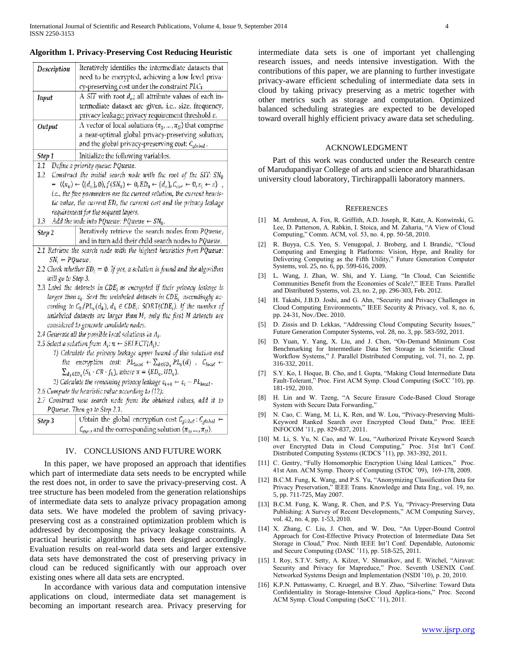| Description                | Iteratively identifies the intermediate datasets that                                                                                                                                         |
|----------------------------|-----------------------------------------------------------------------------------------------------------------------------------------------------------------------------------------------|
|                            | need to be encrypted, achieving a low level priva-                                                                                                                                            |
|                            | cy-preserving cost under the constraint PLC1.                                                                                                                                                 |
| Input                      | A SIT with root $d_o$ ; all attribute values of each in-                                                                                                                                      |
|                            | termediate dataset are given, i.e., size, frequency,                                                                                                                                          |
|                            | privacy leakage; privacy requirement threshold $\varepsilon$ .                                                                                                                                |
| Output                     | A vector of local solutions $\langle \pi_1, \ldots, \pi_n \rangle$ that comprise                                                                                                              |
|                            | a near-optimal global privacy-preserving solution;                                                                                                                                            |
|                            | and the global privacy-preserving cost: C <sub>alobal</sub> .                                                                                                                                 |
| Step 1                     | Initialize the following variables.                                                                                                                                                           |
| 1.1                        | Define a priority queue: PQueue.                                                                                                                                                              |
| 1.2                        | Construct the initial search node with the root of the SIT: $SN_0$                                                                                                                            |
|                            | = $\langle \langle \pi_0 \rangle \leftarrow \langle \{d_o\}, \emptyset \rangle, f(SN_0) \leftarrow 0, ED_0 \leftarrow \{d_o\}, C_{cur} \leftarrow 0, \varepsilon_1 \leftarrow \varepsilon)$ , |
|                            | i.e., the five parameters are the current solution, the current heuris-                                                                                                                       |
|                            | tic value, the current ED, the current cost and the privacy leakage                                                                                                                           |
|                            | requirement for the sequent layers.                                                                                                                                                           |
| 1.3                        | Add the node into PQueue: PQueue $\leftarrow SN_0$ .                                                                                                                                          |
| Step 2                     | Iteratively retrieve the search nodes from PQueue,                                                                                                                                            |
|                            | and in turn add their child search nodes to PQueue.                                                                                                                                           |
|                            | 2.1 Retrieve the search node with the highest heuristics from PQueue:                                                                                                                         |
| $SN_i \leftarrow PQueue$ . |                                                                                                                                                                                               |
|                            | 2.2 Check whether $ED_i = \emptyset$ . If yes, a solution is found and the algorithm                                                                                                          |
| will go to Step 3.         |                                                                                                                                                                                               |
|                            | 2.3 Label the datasets in $CDEi$ as encrypted if their privacy leakage is                                                                                                                     |
|                            | larger than $\varepsilon_i$ . Sort the unlabeled datasets in CDE <sub>i</sub> ascendingly ac-                                                                                                 |
|                            | cording to $C_k/PL_s(d_k)$ , $d_k \in CDE_i$ : SORT(CDE <sub>i</sub> ). If the number of                                                                                                      |
|                            | unlabeled datasets are larger than M, only the first M datasets are                                                                                                                           |
|                            | considered to generate candidate nodes.                                                                                                                                                       |
|                            | 2.4 Generate all the possible local solutions in $A_i$ .                                                                                                                                      |
|                            | 2.5 Select a solution from $A_i$ : $\pi \leftarrow$ SELECT( $A_i$ ).:                                                                                                                         |
|                            | 1) Calculate the privacy leakage upper bound of this solution and                                                                                                                             |
|                            | the encryption cost: $PL_{local} \leftarrow \sum_{d \in UD_{\pi}} PL_s(d)$ , $C_{local} \leftarrow$                                                                                           |
|                            | $\sum_{d_k \in ED_{\pi}} (S_k \cdot CR \cdot f_k)$ , where $\pi = \langle ED_{\pi}, UD_{\pi} \rangle$ .                                                                                       |
|                            | 2) Calculate the remaining privacy leakage $\varepsilon_{i+1} \leftarrow \varepsilon_i - PL_{local}$ .                                                                                        |
|                            | 2.6 Compute the heuristic value according to (12):                                                                                                                                            |
|                            | 2.7 Construct new search node from the obtained values, add it to                                                                                                                             |
|                            | PQueue. Then go to Step 2.1.                                                                                                                                                                  |
| Step 3                     | Obtain the global encryption cost $C_{global}$ : $C_{global} \leftarrow$                                                                                                                      |
|                            | $C_{\text{max}}$ and the corresponding solution $(\pi_1, \dots, \pi_n)$ .                                                                                                                     |

**Algorithm 1. Privacy-Preserving Cost Reducing Heuristic**

## IV. CONCLUSIONS AND FUTURE WORK

 In this paper, we have proposed an approach that identifies which part of intermediate data sets needs to be encrypted while the rest does not, in order to save the privacy-preserving cost. A tree structure has been modeled from the generation relationships of intermediate data sets to analyze privacy propagation among data sets. We have modeled the problem of saving privacypreserving cost as a constrained optimization problem which is addressed by decomposing the privacy leakage constraints. A practical heuristic algorithm has been designed accordingly. Evaluation results on real-world data sets and larger extensive data sets have demonstrated the cost of preserving privacy in cloud can be reduced significantly with our approach over existing ones where all data sets are encrypted.

 In accordance with various data and computation intensive applications on cloud, intermediate data set management is becoming an important research area. Privacy preserving for intermediate data sets is one of important yet challenging research issues, and needs intensive investigation. With the contributions of this paper, we are planning to further investigate privacy-aware efficient scheduling of intermediate data sets in cloud by taking privacy preserving as a metric together with other metrics such as storage and computation. Optimized balanced scheduling strategies are expected to be developed toward overall highly efficient privacy aware data set scheduling.

#### ACKNOWLEDGMENT

 Part of this work was conducted under the Research centre of Marudupandiyar College of arts and science and bharathidasan university cloud laboratory, Tirchirappalli laboratory manners.

#### **REFERENCES**

- [1] M. Armbrust, A. Fox, R. Griffith, A.D. Joseph, R. Katz, A. Konwinski, G. Lee, D. Patterson, A. Rabkin, I. Stoica, and M. Zaharia, "A View of Cloud Computing," Comm. ACM, vol. 53, no. 4, pp. 50-58, 2010.
- [2] R. Buyya, C.S. Yeo, S. Venugopal, J. Broberg, and I. Brandic, "Cloud Computing and Emerging It Platforms: Vision, Hype, and Reality for Delivering Computing as the Fifth Utility," Future Generation Computer Systems, vol. 25, no. 6, pp. 599-616, 2009.
- [3] L. Wang, J. Zhan, W. Shi, and Y. Liang, "In Cloud, Can Scientific Communities Benefit from the Economies of Scale?," IEEE Trans. Parallel and Distributed Systems, vol. 23, no. 2, pp. 296-303, Feb. 2012.
- [4] H. Takabi, J.B.D. Joshi, and G. Ahn, "Security and Privacy Challenges in Cloud Computing Environments," IEEE Security & Privacy, vol. 8, no. 6, pp. 24-31, Nov./Dec. 2010.
- [5] D. Zissis and D. Lekkas, "Addressing Cloud Computing Security Issues," Future Generation Computer Systems, vol. 28, no. 3, pp. 583-592, 2011.
- [6] D. Yuan, Y. Yang, X. Liu, and J. Chen, "On-Demand Minimum Cost Benchmarking for Intermediate Data Set Storage in Scientific Cloud Workflow Systems," J. Parallel Distributed Computing, vol. 71, no. 2, pp. 316-332, 2011.
- [7] S.Y. Ko, I. Hoque, B. Cho, and I. Gupta, "Making Cloud Intermediate Data Fault-Tolerant," Proc. First ACM Symp. Cloud Computing (SoCC '10), pp. 181-192, 2010.
- [8] H. Lin and W. Tzeng, "A Secure Erasure Code-Based Cloud Storage System with Secure Data Forwarding,
- [9] N. Cao, C. Wang, M. Li, K. Ren, and W. Lou, "Privacy-Preserving Multi-Keyword Ranked Search over Encrypted Cloud Data," Proc. IEEE INFOCOM '11, pp. 829-837, 2011.
- [10] M. Li, S. Yu, N. Cao, and W. Lou, "Authorized Private Keyword Search over Encrypted Data in Cloud Computing," Proc. 31st Int'l Conf. Distributed Computing Systems (ICDCS '11), pp. 383-392, 2011.
- [11] C. Gentry, "Fully Homomorphic Encryption Using Ideal Lattices," Proc. 41st Ann. ACM Symp. Theory of Computing (STOC '09), 169-178, 2009.
- [12] B.C.M. Fung, K. Wang, and P.S. Yu, "Anonymizing Classification Data for Privacy Preservation," IEEE Trans. Knowledge and Data Eng., vol. 19, no. 5, pp. 711-725, May 2007.
- [13] B.C.M. Fung, K. Wang, R. Chen, and P.S. Yu, "Privacy-Preserving Data Publishing: A Survey of Recent Developments," ACM Computing Survey, vol. 42, no. 4, pp. 1-53, 2010.
- [14] X. Zhang, C. Liu, J. Chen, and W. Dou, "An Upper-Bound Control Approach for Cost-Effective Privacy Protection of Intermediate Data Set Storage in Cloud," Proc. Ninth IEEE Int'l Conf. Dependable, Autonomic and Secure Computing (DASC '11), pp. 518-525, 2011.
- [15] I. Roy, S.T.V. Setty, A. Kilzer, V. Shmatikov, and E. Witchel, "Airavat: Security and Privacy for Mapreduce," Proc. Seventh USENIX Conf. Networked Systems Design and Implementation (NSDI '10), p. 20, 2010.
- [16] K.P.N. Puttaswamy, C. Kruegel, and B.Y. Zhao, "Silverline: Toward Data Confidentiality in Storage-Intensive Cloud Applica-tions," Proc. Second ACM Symp. Cloud Computing (SoCC '11), 2011.